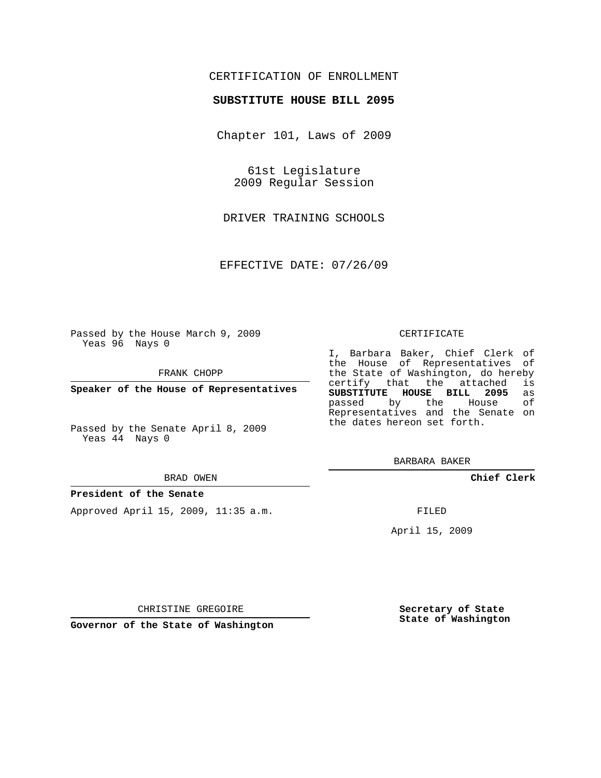## CERTIFICATION OF ENROLLMENT

### **SUBSTITUTE HOUSE BILL 2095**

Chapter 101, Laws of 2009

61st Legislature 2009 Regular Session

DRIVER TRAINING SCHOOLS

EFFECTIVE DATE: 07/26/09

Passed by the House March 9, 2009 Yeas 96 Nays 0

FRANK CHOPP

**Speaker of the House of Representatives**

Passed by the Senate April 8, 2009 Yeas 44 Nays 0

#### BRAD OWEN

#### **President of the Senate**

Approved April 15, 2009, 11:35 a.m.

#### CERTIFICATE

I, Barbara Baker, Chief Clerk of the House of Representatives of the State of Washington, do hereby<br>certify that the attached is certify that the attached **SUBSTITUTE HOUSE BILL 2095** as passed by the Representatives and the Senate on the dates hereon set forth.

BARBARA BAKER

**Chief Clerk**

FILED

April 15, 2009

**Secretary of State State of Washington**

CHRISTINE GREGOIRE

**Governor of the State of Washington**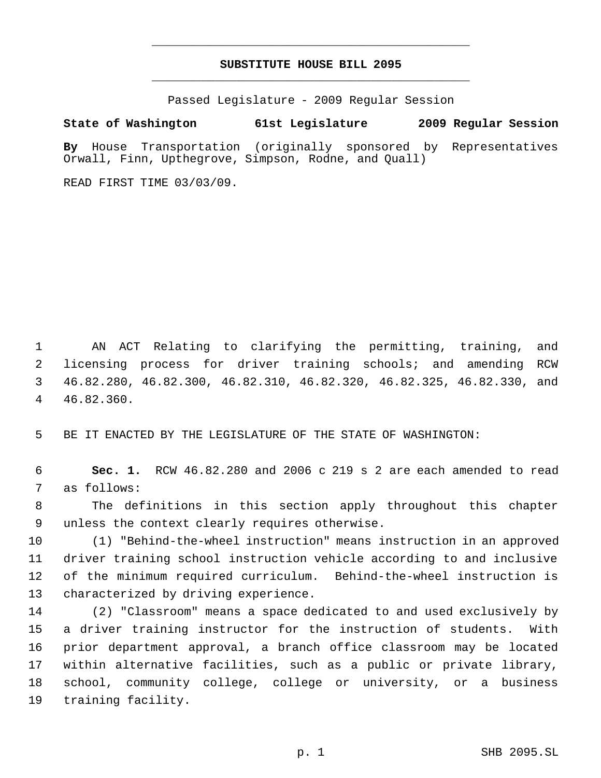# **SUBSTITUTE HOUSE BILL 2095** \_\_\_\_\_\_\_\_\_\_\_\_\_\_\_\_\_\_\_\_\_\_\_\_\_\_\_\_\_\_\_\_\_\_\_\_\_\_\_\_\_\_\_\_\_

\_\_\_\_\_\_\_\_\_\_\_\_\_\_\_\_\_\_\_\_\_\_\_\_\_\_\_\_\_\_\_\_\_\_\_\_\_\_\_\_\_\_\_\_\_

Passed Legislature - 2009 Regular Session

# **State of Washington 61st Legislature 2009 Regular Session**

**By** House Transportation (originally sponsored by Representatives Orwall, Finn, Upthegrove, Simpson, Rodne, and Quall)

READ FIRST TIME 03/03/09.

 AN ACT Relating to clarifying the permitting, training, and licensing process for driver training schools; and amending RCW 46.82.280, 46.82.300, 46.82.310, 46.82.320, 46.82.325, 46.82.330, and 46.82.360.

BE IT ENACTED BY THE LEGISLATURE OF THE STATE OF WASHINGTON:

 **Sec. 1.** RCW 46.82.280 and 2006 c 219 s 2 are each amended to read as follows:

 The definitions in this section apply throughout this chapter unless the context clearly requires otherwise.

 (1) "Behind-the-wheel instruction" means instruction in an approved driver training school instruction vehicle according to and inclusive of the minimum required curriculum. Behind-the-wheel instruction is characterized by driving experience.

 (2) "Classroom" means a space dedicated to and used exclusively by a driver training instructor for the instruction of students. With prior department approval, a branch office classroom may be located within alternative facilities, such as a public or private library, school, community college, college or university, or a business training facility.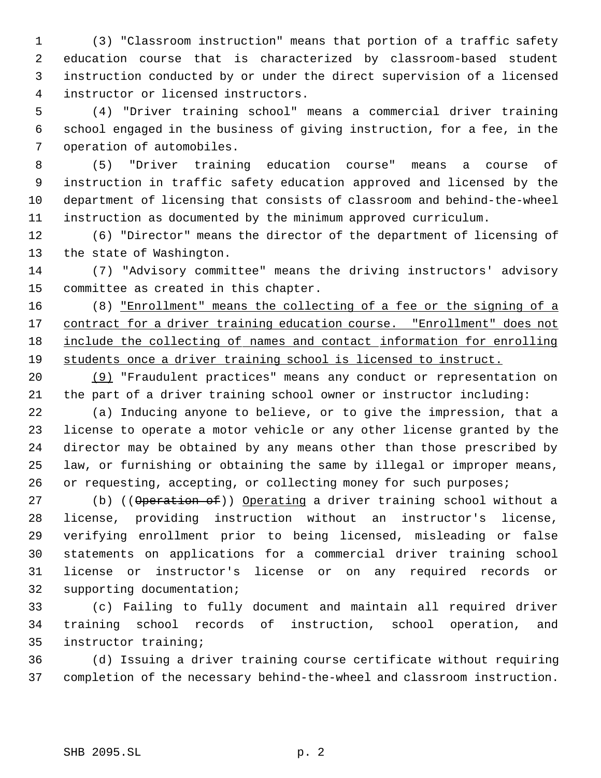(3) "Classroom instruction" means that portion of a traffic safety education course that is characterized by classroom-based student instruction conducted by or under the direct supervision of a licensed instructor or licensed instructors.

 (4) "Driver training school" means a commercial driver training school engaged in the business of giving instruction, for a fee, in the operation of automobiles.

 (5) "Driver training education course" means a course of instruction in traffic safety education approved and licensed by the department of licensing that consists of classroom and behind-the-wheel instruction as documented by the minimum approved curriculum.

 (6) "Director" means the director of the department of licensing of the state of Washington.

 (7) "Advisory committee" means the driving instructors' advisory committee as created in this chapter.

 (8) "Enrollment" means the collecting of a fee or the signing of a 17 contract for a driver training education course. "Enrollment" does not include the collecting of names and contact information for enrolling students once a driver training school is licensed to instruct.

 (9) "Fraudulent practices" means any conduct or representation on the part of a driver training school owner or instructor including:

 (a) Inducing anyone to believe, or to give the impression, that a license to operate a motor vehicle or any other license granted by the director may be obtained by any means other than those prescribed by law, or furnishing or obtaining the same by illegal or improper means, 26 or requesting, accepting, or collecting money for such purposes;

27 (b) ((Operation of)) Operating a driver training school without a license, providing instruction without an instructor's license, verifying enrollment prior to being licensed, misleading or false statements on applications for a commercial driver training school license or instructor's license or on any required records or supporting documentation;

 (c) Failing to fully document and maintain all required driver training school records of instruction, school operation, and instructor training;

 (d) Issuing a driver training course certificate without requiring completion of the necessary behind-the-wheel and classroom instruction.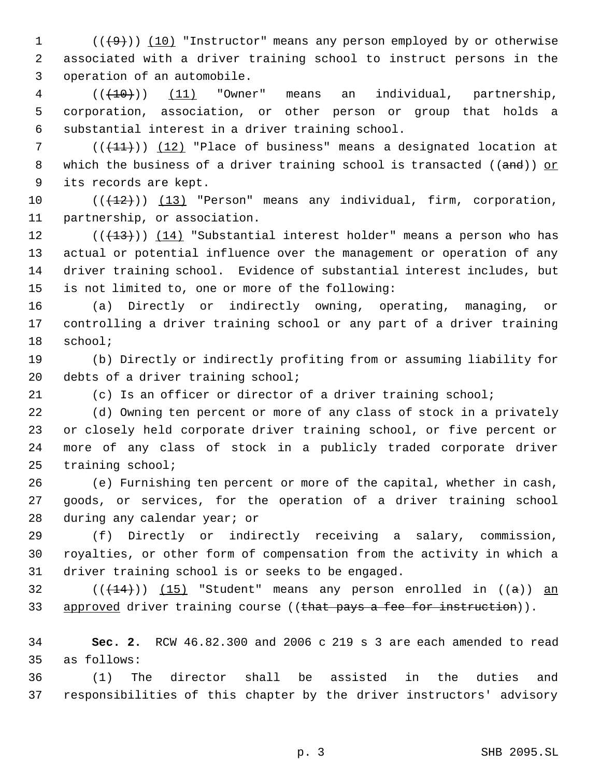1  $((+9))$  (10) "Instructor" means any person employed by or otherwise associated with a driver training school to instruct persons in the operation of an automobile.

 (( $\left(\frac{10}{10}\right)$ ) (11) "Owner" means an individual, partnership, corporation, association, or other person or group that holds a substantial interest in a driver training school.

7 ( $(\frac{11}{1})$ ) (12) "Place of business" means a designated location at 8 which the business of a driver training school is transacted ( $($ and)) or its records are kept.

10  $((+12))$   $(13)$  "Person" means any individual, firm, corporation, partnership, or association.

 $((+13))$   $(14)$  "Substantial interest holder" means a person who has actual or potential influence over the management or operation of any driver training school. Evidence of substantial interest includes, but is not limited to, one or more of the following:

 (a) Directly or indirectly owning, operating, managing, or controlling a driver training school or any part of a driver training school;

 (b) Directly or indirectly profiting from or assuming liability for 20 debts of a driver training school;

(c) Is an officer or director of a driver training school;

 (d) Owning ten percent or more of any class of stock in a privately or closely held corporate driver training school, or five percent or more of any class of stock in a publicly traded corporate driver training school;

 (e) Furnishing ten percent or more of the capital, whether in cash, goods, or services, for the operation of a driver training school during any calendar year; or

 (f) Directly or indirectly receiving a salary, commission, royalties, or other form of compensation from the activity in which a driver training school is or seeks to be engaged.

32  $((+14))$  (15) "Student" means any person enrolled in  $((a))$  an 33 approved driver training course ((that pays a fee for instruction)).

 **Sec. 2.** RCW 46.82.300 and 2006 c 219 s 3 are each amended to read as follows:

 (1) The director shall be assisted in the duties and responsibilities of this chapter by the driver instructors' advisory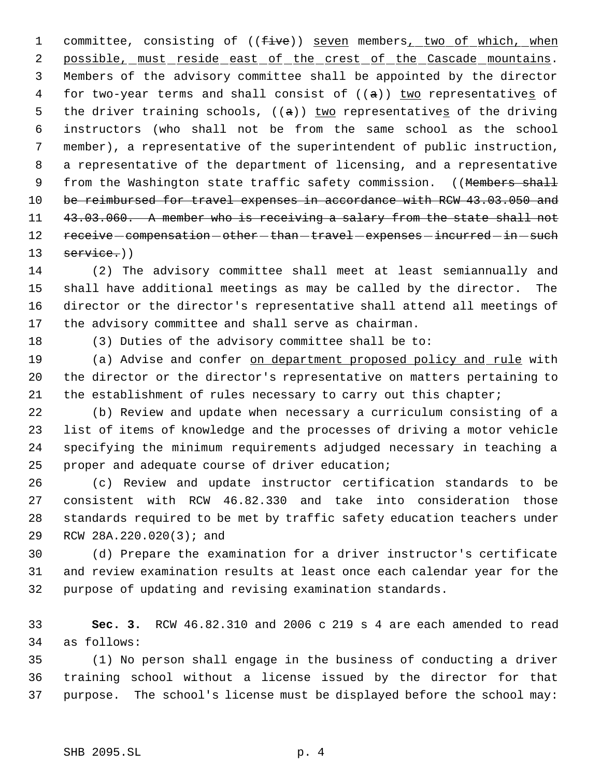1 committee, consisting of ((five)) seven members, two of which, when 2 possible, must reside east of the crest of the Cascade mountains. Members of the advisory committee shall be appointed by the director 4 for two-year terms and shall consist of  $((a))$  two representatives of 5 the driver training schools,  $((a))$  two representatives of the driving instructors (who shall not be from the same school as the school member), a representative of the superintendent of public instruction, a representative of the department of licensing, and a representative 9 from the Washington state traffic safety commission. ((Members shall 10 be reimbursed for travel expenses in accordance with RCW 43.03.050 and 11 43.03.060. A member who is receiving a salary from the state shall not 12 receive - compensation - other - than - travel - expenses - incurred - in - such 13 service.))

 (2) The advisory committee shall meet at least semiannually and shall have additional meetings as may be called by the director. The director or the director's representative shall attend all meetings of the advisory committee and shall serve as chairman.

(3) Duties of the advisory committee shall be to:

19 (a) Advise and confer on department proposed policy and rule with the director or the director's representative on matters pertaining to 21 the establishment of rules necessary to carry out this chapter;

 (b) Review and update when necessary a curriculum consisting of a list of items of knowledge and the processes of driving a motor vehicle specifying the minimum requirements adjudged necessary in teaching a proper and adequate course of driver education;

 (c) Review and update instructor certification standards to be consistent with RCW 46.82.330 and take into consideration those standards required to be met by traffic safety education teachers under RCW 28A.220.020(3); and

 (d) Prepare the examination for a driver instructor's certificate and review examination results at least once each calendar year for the purpose of updating and revising examination standards.

 **Sec. 3.** RCW 46.82.310 and 2006 c 219 s 4 are each amended to read as follows:

 (1) No person shall engage in the business of conducting a driver training school without a license issued by the director for that purpose. The school's license must be displayed before the school may: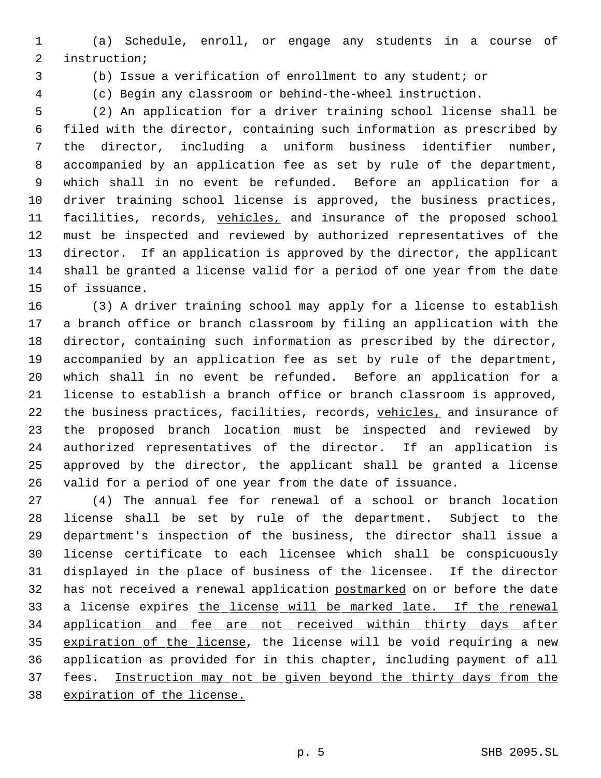(a) Schedule, enroll, or engage any students in a course of instruction;

(b) Issue a verification of enrollment to any student; or

(c) Begin any classroom or behind-the-wheel instruction.

 (2) An application for a driver training school license shall be filed with the director, containing such information as prescribed by the director, including a uniform business identifier number, accompanied by an application fee as set by rule of the department, which shall in no event be refunded. Before an application for a driver training school license is approved, the business practices, 11 facilities, records, vehicles, and insurance of the proposed school must be inspected and reviewed by authorized representatives of the director. If an application is approved by the director, the applicant shall be granted a license valid for a period of one year from the date of issuance.

 (3) A driver training school may apply for a license to establish a branch office or branch classroom by filing an application with the director, containing such information as prescribed by the director, accompanied by an application fee as set by rule of the department, which shall in no event be refunded. Before an application for a license to establish a branch office or branch classroom is approved, 22 the business practices, facilities, records, vehicles, and insurance of the proposed branch location must be inspected and reviewed by authorized representatives of the director. If an application is approved by the director, the applicant shall be granted a license valid for a period of one year from the date of issuance.

 (4) The annual fee for renewal of a school or branch location license shall be set by rule of the department. Subject to the department's inspection of the business, the director shall issue a license certificate to each licensee which shall be conspicuously displayed in the place of business of the licensee. If the director 32 has not received a renewal application postmarked on or before the date 33 a license expires the license will be marked late. If the renewal 34 application and fee are not received within thirty days after 35 expiration of the license, the license will be void requiring a new application as provided for in this chapter, including payment of all fees. Instruction may not be given beyond the thirty days from the expiration of the license.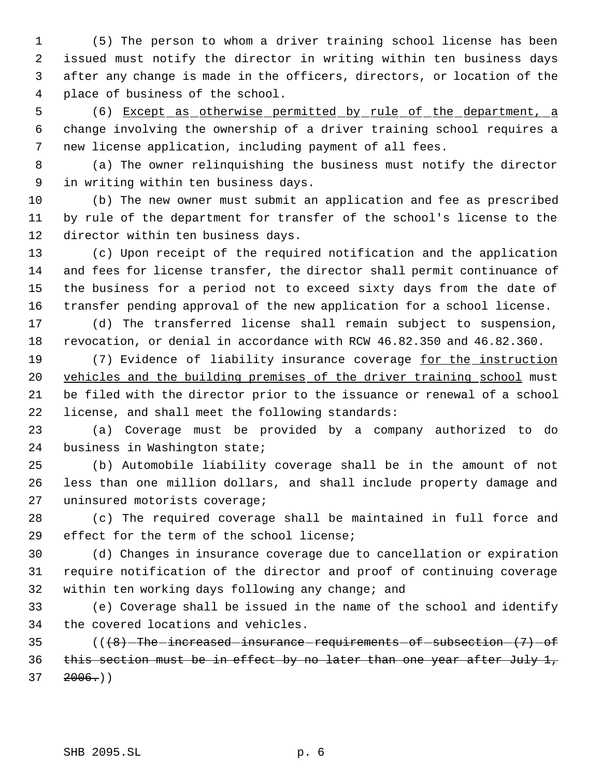(5) The person to whom a driver training school license has been issued must notify the director in writing within ten business days after any change is made in the officers, directors, or location of the place of business of the school.

 (6) Except as otherwise permitted by rule of the department, a change involving the ownership of a driver training school requires a new license application, including payment of all fees.

 (a) The owner relinquishing the business must notify the director in writing within ten business days.

 (b) The new owner must submit an application and fee as prescribed by rule of the department for transfer of the school's license to the director within ten business days.

 (c) Upon receipt of the required notification and the application and fees for license transfer, the director shall permit continuance of the business for a period not to exceed sixty days from the date of transfer pending approval of the new application for a school license.

 (d) The transferred license shall remain subject to suspension, revocation, or denial in accordance with RCW 46.82.350 and 46.82.360.

19 (7) Evidence of liability insurance coverage for the instruction 20 vehicles and the building premises of the driver training school must be filed with the director prior to the issuance or renewal of a school license, and shall meet the following standards:

 (a) Coverage must be provided by a company authorized to do business in Washington state;

 (b) Automobile liability coverage shall be in the amount of not less than one million dollars, and shall include property damage and uninsured motorists coverage;

 (c) The required coverage shall be maintained in full force and effect for the term of the school license;

 (d) Changes in insurance coverage due to cancellation or expiration require notification of the director and proof of continuing coverage within ten working days following any change; and

 (e) Coverage shall be issued in the name of the school and identify the covered locations and vehicles.

 (( $\left(48\right)$ -The-increased-insurance-requirements-of-subsection- $\left(7\right)$ -of this section must be in effect by no later than one year after July 1,  $37 \quad 2006.$ )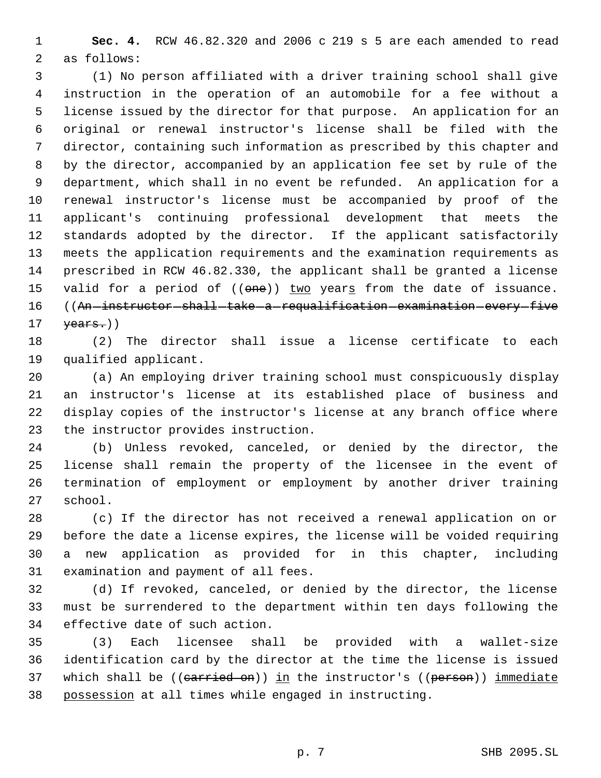**Sec. 4.** RCW 46.82.320 and 2006 c 219 s 5 are each amended to read as follows:

 (1) No person affiliated with a driver training school shall give instruction in the operation of an automobile for a fee without a license issued by the director for that purpose. An application for an original or renewal instructor's license shall be filed with the director, containing such information as prescribed by this chapter and by the director, accompanied by an application fee set by rule of the department, which shall in no event be refunded. An application for a renewal instructor's license must be accompanied by proof of the applicant's continuing professional development that meets the standards adopted by the director. If the applicant satisfactorily meets the application requirements and the examination requirements as prescribed in RCW 46.82.330, the applicant shall be granted a license 15 valid for a period of ((one)) two years from the date of issuance. 16 ((An instructor shall take a requalification examination every five  $\text{years.}$ ))

 (2) The director shall issue a license certificate to each qualified applicant.

 (a) An employing driver training school must conspicuously display an instructor's license at its established place of business and display copies of the instructor's license at any branch office where the instructor provides instruction.

 (b) Unless revoked, canceled, or denied by the director, the license shall remain the property of the licensee in the event of termination of employment or employment by another driver training school.

 (c) If the director has not received a renewal application on or before the date a license expires, the license will be voided requiring a new application as provided for in this chapter, including examination and payment of all fees.

 (d) If revoked, canceled, or denied by the director, the license must be surrendered to the department within ten days following the effective date of such action.

 (3) Each licensee shall be provided with a wallet-size identification card by the director at the time the license is issued 37 which shall be  $((\text{carried on}))$  in the instructor's  $((\text{person}))$  immediate possession at all times while engaged in instructing.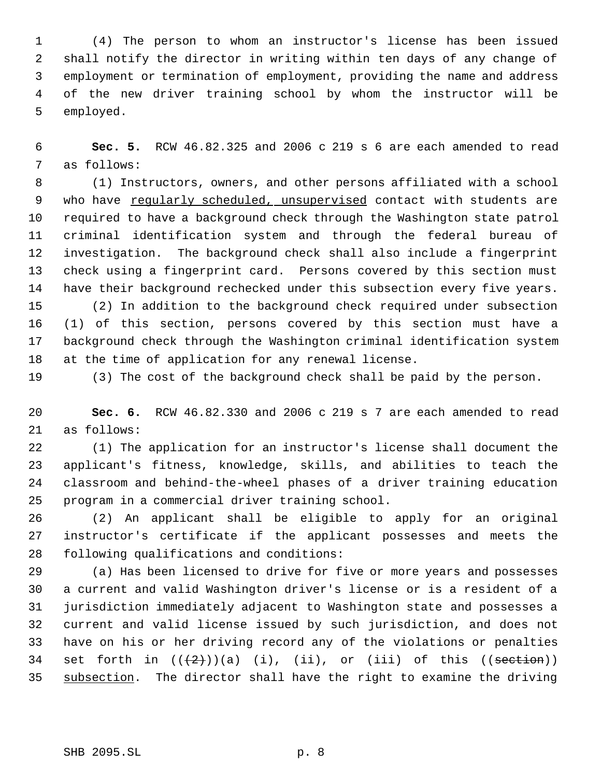(4) The person to whom an instructor's license has been issued shall notify the director in writing within ten days of any change of employment or termination of employment, providing the name and address of the new driver training school by whom the instructor will be employed.

 **Sec. 5.** RCW 46.82.325 and 2006 c 219 s 6 are each amended to read as follows:

 (1) Instructors, owners, and other persons affiliated with a school who have regularly scheduled, unsupervised contact with students are required to have a background check through the Washington state patrol criminal identification system and through the federal bureau of investigation. The background check shall also include a fingerprint check using a fingerprint card. Persons covered by this section must have their background rechecked under this subsection every five years. (2) In addition to the background check required under subsection (1) of this section, persons covered by this section must have a

 background check through the Washington criminal identification system at the time of application for any renewal license.

(3) The cost of the background check shall be paid by the person.

 **Sec. 6.** RCW 46.82.330 and 2006 c 219 s 7 are each amended to read as follows:

 (1) The application for an instructor's license shall document the applicant's fitness, knowledge, skills, and abilities to teach the classroom and behind-the-wheel phases of a driver training education program in a commercial driver training school.

 (2) An applicant shall be eligible to apply for an original instructor's certificate if the applicant possesses and meets the following qualifications and conditions:

 (a) Has been licensed to drive for five or more years and possesses a current and valid Washington driver's license or is a resident of a jurisdiction immediately adjacent to Washington state and possesses a current and valid license issued by such jurisdiction, and does not have on his or her driving record any of the violations or penalties 34 set forth in  $((+2)^{n})$  (a) (i), (ii), or (iii) of this  $((section))$ 35 subsection. The director shall have the right to examine the driving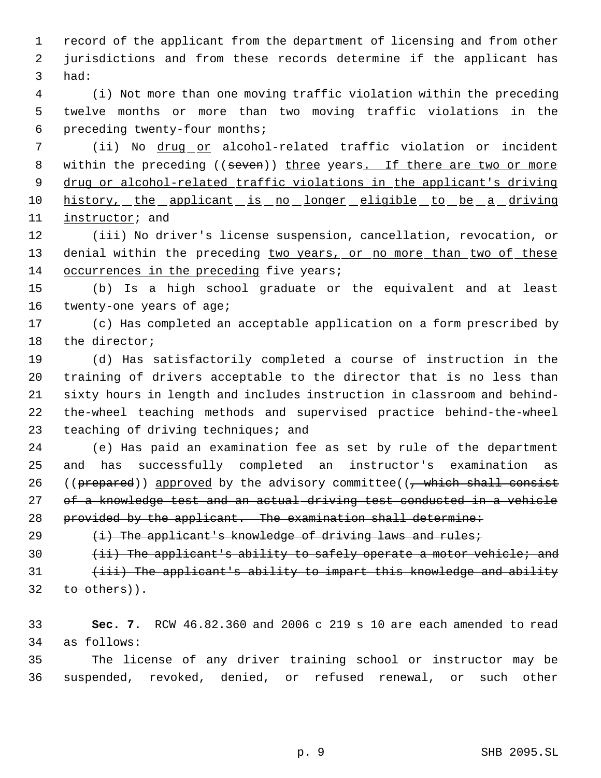record of the applicant from the department of licensing and from other jurisdictions and from these records determine if the applicant has had:

 (i) Not more than one moving traffic violation within the preceding twelve months or more than two moving traffic violations in the preceding twenty-four months;

 (ii) No drug or alcohol-related traffic violation or incident 8 within the preceding ((seven)) three years. If there are two or more drug or alcohol-related traffic violations in the applicant's driving 10 history, the applicant is no longer eligible to be a driving 11 instructor; and

 (iii) No driver's license suspension, cancellation, revocation, or 13 denial within the preceding two years, or no more than two of these 14 occurrences in the preceding five years;

 (b) Is a high school graduate or the equivalent and at least 16 twenty-one years of age;

 (c) Has completed an acceptable application on a form prescribed by the director;

 (d) Has satisfactorily completed a course of instruction in the training of drivers acceptable to the director that is no less than sixty hours in length and includes instruction in classroom and behind- the-wheel teaching methods and supervised practice behind-the-wheel 23 teaching of driving techniques; and

 (e) Has paid an examination fee as set by rule of the department and has successfully completed an instructor's examination as 26 (( $prepared$ )) approved by the advisory committee(( $\frac{1}{100}$  which shall consist 27 of a knowledge test and an actual driving test conducted in a vehicle 28 provided by the applicant. The examination shall determine:

29  $(i)$  The applicant's knowledge of driving laws and rules;

30 (ii) The applicant's ability to safely operate a motor vehicle; and

31 (iii) The applicant's ability to impart this knowledge and ability to others)).

 **Sec. 7.** RCW 46.82.360 and 2006 c 219 s 10 are each amended to read as follows:

 The license of any driver training school or instructor may be suspended, revoked, denied, or refused renewal, or such other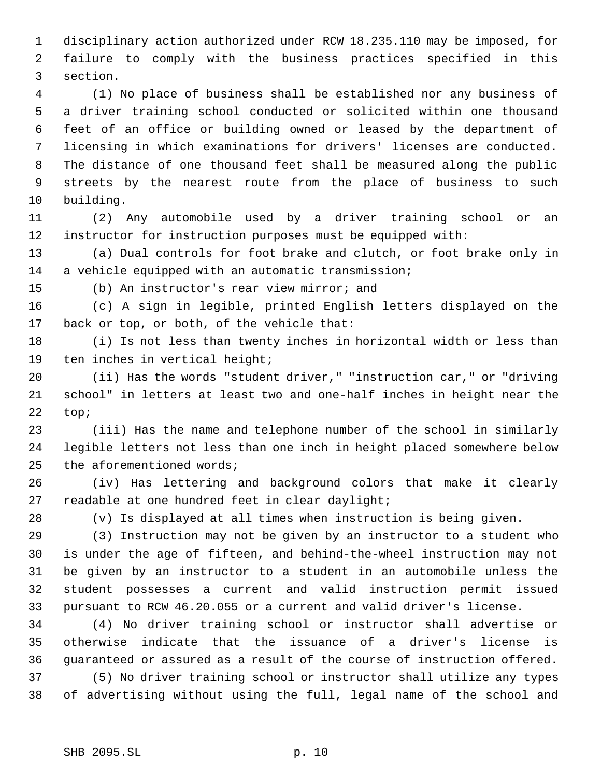disciplinary action authorized under RCW 18.235.110 may be imposed, for failure to comply with the business practices specified in this section.

 (1) No place of business shall be established nor any business of a driver training school conducted or solicited within one thousand feet of an office or building owned or leased by the department of licensing in which examinations for drivers' licenses are conducted. The distance of one thousand feet shall be measured along the public streets by the nearest route from the place of business to such building.

 (2) Any automobile used by a driver training school or an instructor for instruction purposes must be equipped with:

 (a) Dual controls for foot brake and clutch, or foot brake only in a vehicle equipped with an automatic transmission;

(b) An instructor's rear view mirror; and

 (c) A sign in legible, printed English letters displayed on the back or top, or both, of the vehicle that:

 (i) Is not less than twenty inches in horizontal width or less than ten inches in vertical height;

 (ii) Has the words "student driver," "instruction car," or "driving school" in letters at least two and one-half inches in height near the top;

 (iii) Has the name and telephone number of the school in similarly legible letters not less than one inch in height placed somewhere below 25 the aforementioned words;

 (iv) Has lettering and background colors that make it clearly readable at one hundred feet in clear daylight;

(v) Is displayed at all times when instruction is being given.

 (3) Instruction may not be given by an instructor to a student who is under the age of fifteen, and behind-the-wheel instruction may not be given by an instructor to a student in an automobile unless the student possesses a current and valid instruction permit issued pursuant to RCW 46.20.055 or a current and valid driver's license.

 (4) No driver training school or instructor shall advertise or otherwise indicate that the issuance of a driver's license is guaranteed or assured as a result of the course of instruction offered. (5) No driver training school or instructor shall utilize any types of advertising without using the full, legal name of the school and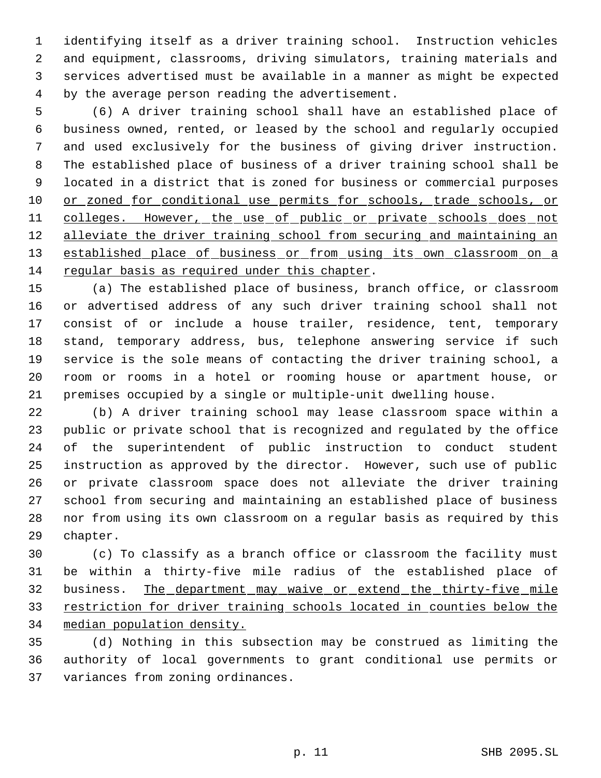identifying itself as a driver training school. Instruction vehicles and equipment, classrooms, driving simulators, training materials and services advertised must be available in a manner as might be expected by the average person reading the advertisement.

 (6) A driver training school shall have an established place of business owned, rented, or leased by the school and regularly occupied and used exclusively for the business of giving driver instruction. The established place of business of a driver training school shall be located in a district that is zoned for business or commercial purposes 10 or zoned for conditional use permits for schools, trade schools, or 11 colleges. However, the use of public or private schools does not 12 alleviate the driver training school from securing and maintaining an 13 established place of business or from using its own classroom on a regular basis as required under this chapter.

 (a) The established place of business, branch office, or classroom or advertised address of any such driver training school shall not consist of or include a house trailer, residence, tent, temporary stand, temporary address, bus, telephone answering service if such service is the sole means of contacting the driver training school, a room or rooms in a hotel or rooming house or apartment house, or premises occupied by a single or multiple-unit dwelling house.

 (b) A driver training school may lease classroom space within a public or private school that is recognized and regulated by the office of the superintendent of public instruction to conduct student instruction as approved by the director. However, such use of public or private classroom space does not alleviate the driver training school from securing and maintaining an established place of business nor from using its own classroom on a regular basis as required by this chapter.

 (c) To classify as a branch office or classroom the facility must be within a thirty-five mile radius of the established place of 32 business. The department may waive or extend the thirty-five mile restriction for driver training schools located in counties below the median population density.

 (d) Nothing in this subsection may be construed as limiting the authority of local governments to grant conditional use permits or variances from zoning ordinances.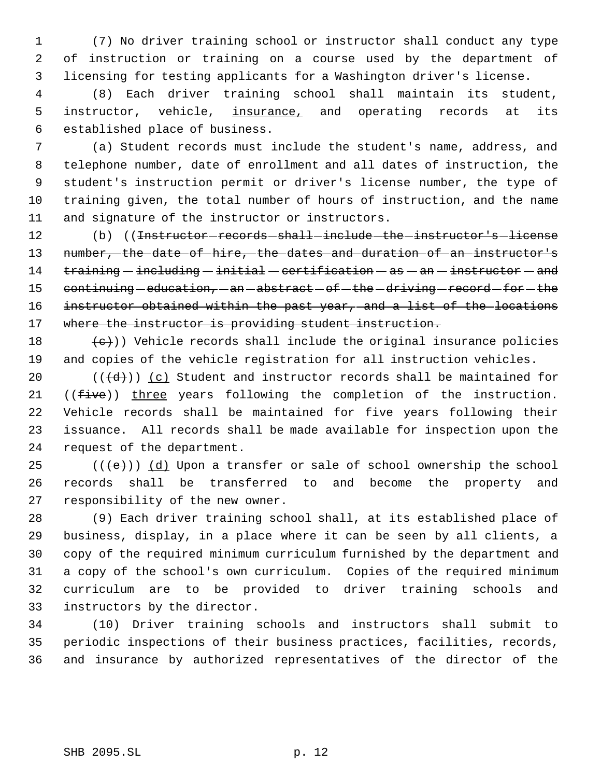(7) No driver training school or instructor shall conduct any type of instruction or training on a course used by the department of licensing for testing applicants for a Washington driver's license.

 (8) Each driver training school shall maintain its student, 5 instructor, vehicle, insurance, and operating records at its established place of business.

 (a) Student records must include the student's name, address, and telephone number, date of enrollment and all dates of instruction, the student's instruction permit or driver's license number, the type of training given, the total number of hours of instruction, and the name and signature of the instructor or instructors.

12 (b) ((<del>Instructor records shall include the instructor's license</del> 13 number, the date of hire, the dates and duration of an instructor's training  $-$  including  $-$  initial  $-$  certification  $-$  as  $-$  an  $-$  instructor  $-$  and 15 continuing - education, - an - abstract - of - the - driving - record - for - the 16 instructor obtained within the past year, and a list of the locations 17 where the instructor is providing student instruction.

 $\left( \frac{1}{e} \right)$ ) Vehicle records shall include the original insurance policies and copies of the vehicle registration for all instruction vehicles.

 $((\{d\}))(c)$  Student and instructor records shall be maintained for 21 ((five)) three years following the completion of the instruction. Vehicle records shall be maintained for five years following their issuance. All records shall be made available for inspection upon the request of the department.

25  $((\text{+e})^{\circ})$  (d) Upon a transfer or sale of school ownership the school records shall be transferred to and become the property and responsibility of the new owner.

 (9) Each driver training school shall, at its established place of business, display, in a place where it can be seen by all clients, a copy of the required minimum curriculum furnished by the department and a copy of the school's own curriculum. Copies of the required minimum curriculum are to be provided to driver training schools and instructors by the director.

 (10) Driver training schools and instructors shall submit to periodic inspections of their business practices, facilities, records, and insurance by authorized representatives of the director of the